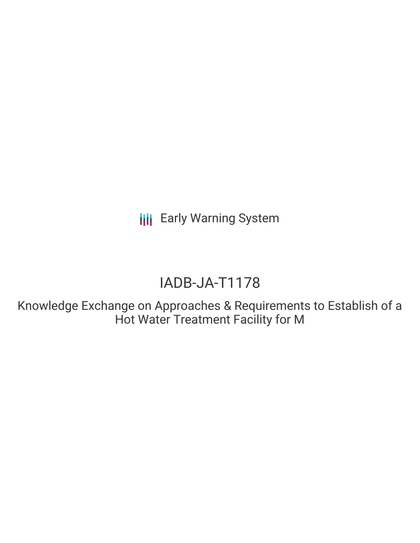**III** Early Warning System

# IADB-JA-T1178

Knowledge Exchange on Approaches & Requirements to Establish of a Hot Water Treatment Facility for M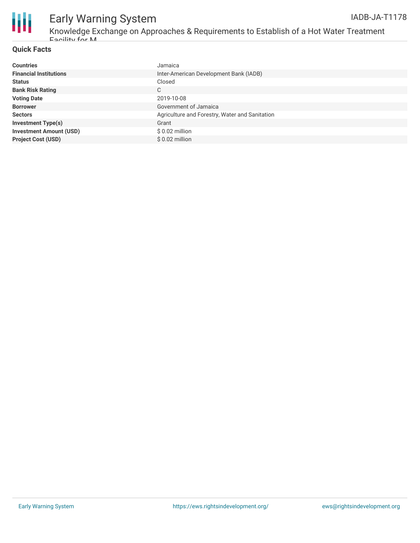

# Early Warning System

Knowledge Exchange on Approaches & Requirements to Establish of a Hot Water Treatment Facility for M

#### **Quick Facts**

| <b>Countries</b>               | Jamaica                                        |
|--------------------------------|------------------------------------------------|
| <b>Financial Institutions</b>  | Inter-American Development Bank (IADB)         |
| <b>Status</b>                  | Closed                                         |
| <b>Bank Risk Rating</b>        | C                                              |
| <b>Voting Date</b>             | 2019-10-08                                     |
| <b>Borrower</b>                | Government of Jamaica                          |
| <b>Sectors</b>                 | Agriculture and Forestry, Water and Sanitation |
| <b>Investment Type(s)</b>      | Grant                                          |
| <b>Investment Amount (USD)</b> | $$0.02$ million                                |
| <b>Project Cost (USD)</b>      | $$0.02$ million                                |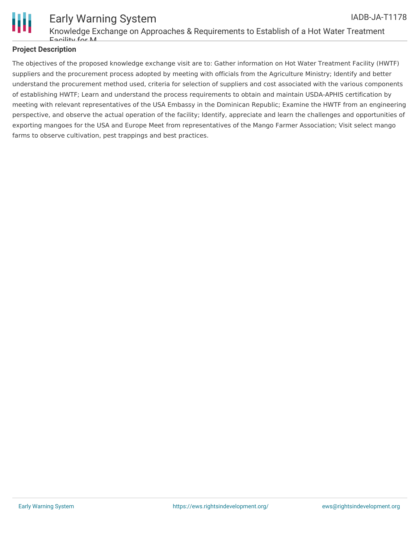

#### **Project Description**

The objectives of the proposed knowledge exchange visit are to: Gather information on Hot Water Treatment Facility (HWTF) suppliers and the procurement process adopted by meeting with officials from the Agriculture Ministry; Identify and better understand the procurement method used, criteria for selection of suppliers and cost associated with the various components of establishing HWTF; Learn and understand the process requirements to obtain and maintain USDA-APHIS certification by meeting with relevant representatives of the USA Embassy in the Dominican Republic; Examine the HWTF from an engineering perspective, and observe the actual operation of the facility; Identify, appreciate and learn the challenges and opportunities of exporting mangoes for the USA and Europe Meet from representatives of the Mango Farmer Association; Visit select mango farms to observe cultivation, pest trappings and best practices.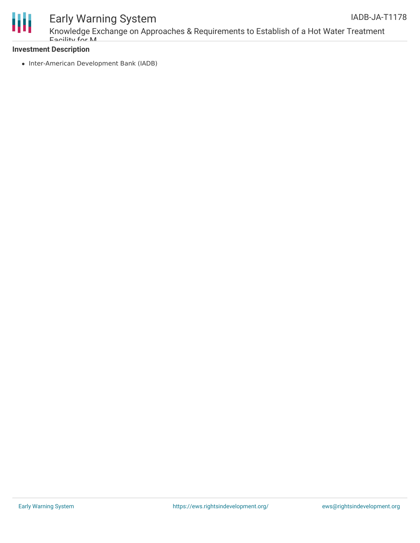



## Early Warning System

Knowledge Exchange on Approaches & Requirements to Establish of a Hot Water Treatment Facility for M

### **Investment Description**

• Inter-American Development Bank (IADB)